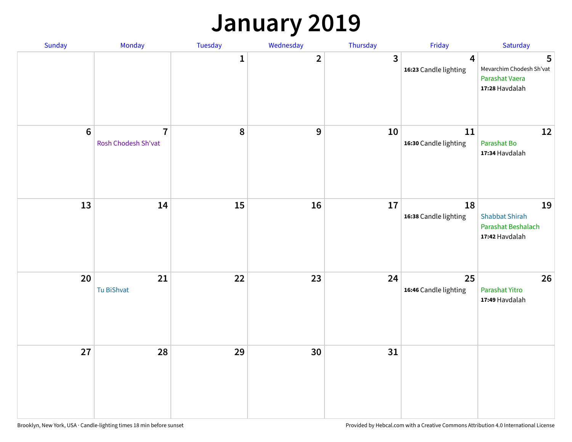### **January 2019**

| Sunday           | Monday                                | Tuesday      | Wednesday      | Thursday     | Friday                      | Saturday                                                            |
|------------------|---------------------------------------|--------------|----------------|--------------|-----------------------------|---------------------------------------------------------------------|
|                  |                                       | $\mathbf{1}$ | $\overline{2}$ | $\mathbf{3}$ | 4<br>16:23 Candle lighting  | 5<br>Mevarchim Chodesh Sh'vat<br>Parashat Vaera<br>17:28 Havdalah   |
| $\boldsymbol{6}$ | $\overline{7}$<br>Rosh Chodesh Sh'vat | 8            | 9              | 10           | 11<br>16:30 Candle lighting | 12<br>Parashat Bo<br>17:34 Havdalah                                 |
| 13               | 14                                    | 15           | 16             | 17           | 18<br>16:38 Candle lighting | 19<br><b>Shabbat Shirah</b><br>Parashat Beshalach<br>17:42 Havdalah |
| 20               | 21<br>Tu BiShvat                      | 22           | 23             | 24           | 25<br>16:46 Candle lighting | 26<br>Parashat Yitro<br>17:49 Havdalah                              |
| 27               | 28                                    | 29           | 30             | 31           |                             |                                                                     |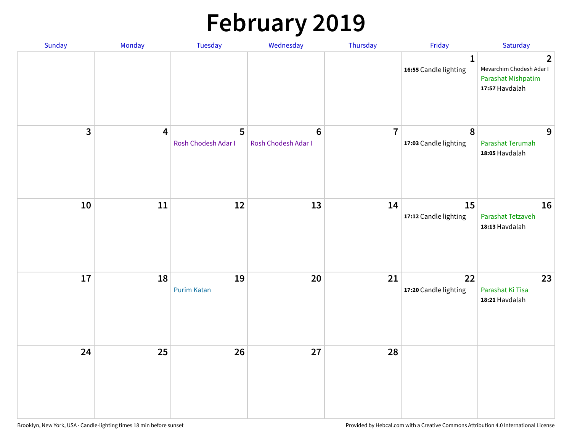# **February 2019**

| Sunday | Monday                  | Tuesday                  | Wednesday                             | Thursday       | Friday                                | Saturday                                                                           |
|--------|-------------------------|--------------------------|---------------------------------------|----------------|---------------------------------------|------------------------------------------------------------------------------------|
|        |                         |                          |                                       |                | $\mathbf{1}$<br>16:55 Candle lighting | $\overline{2}$<br>Mevarchim Chodesh Adar I<br>Parashat Mishpatim<br>17:57 Havdalah |
| 3      | $\overline{\mathbf{4}}$ | 5<br>Rosh Chodesh Adar I | $6\phantom{1}$<br>Rosh Chodesh Adar I | $\overline{7}$ | 8<br>17:03 Candle lighting            | 9<br>Parashat Terumah<br>18:05 Havdalah                                            |
| 10     | 11                      | 12                       | 13                                    | 14             | 15<br>17:12 Candle lighting           | 16<br>Parashat Tetzaveh<br>18:13 Havdalah                                          |
| 17     | 18                      | 19<br><b>Purim Katan</b> | 20                                    | 21             | 22<br>17:20 Candle lighting           | 23<br>Parashat Ki Tisa<br>18:21 Havdalah                                           |
| 24     | 25                      | 26                       | 27                                    | 28             |                                       |                                                                                    |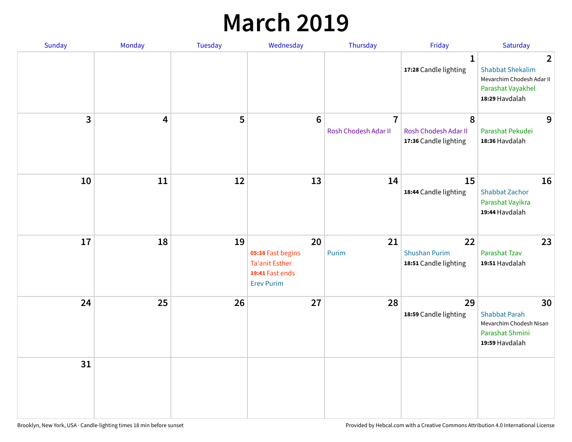### **March 2019**

| Sunday       | Monday | Tuesday | Wednesday                                                                                | Thursday                               | Friday                                              | Saturday                                                                                                      |
|--------------|--------|---------|------------------------------------------------------------------------------------------|----------------------------------------|-----------------------------------------------------|---------------------------------------------------------------------------------------------------------------|
|              |        |         |                                                                                          |                                        | $\mathbf{1}$<br>17:28 Candle lighting               | $\overline{2}$<br><b>Shabbat Shekalim</b><br>Mevarchim Chodesh Adar II<br>Parashat Vayakhel<br>18:29 Havdalah |
| $\mathbf{3}$ | 4      | 5       | $6\phantom{1}6$                                                                          | $\overline{7}$<br>Rosh Chodesh Adar II | 8<br>Rosh Chodesh Adar II<br>17:36 Candle lighting  | 9<br>Parashat Pekudei<br>18:36 Havdalah                                                                       |
| 10           | 11     | 12      | 13                                                                                       | 14                                     | 15<br>18:44 Candle lighting                         | 16<br><b>Shabbat Zachor</b><br>Parashat Vayikra<br>19:44 Havdalah                                             |
| 17           | 18     | 19      | 20<br>05:38 Fast begins<br><b>Ta'anit Esther</b><br>19:41 Fast ends<br><b>Erev Purim</b> | 21<br>Purim                            | 22<br><b>Shushan Purim</b><br>18:51 Candle lighting | 23<br><b>Parashat Tzav</b><br>19:51 Havdalah                                                                  |
| 24           | 25     | 26      | 27                                                                                       | 28                                     | 29<br>18:59 Candle lighting                         | 30<br><b>Shabbat Parah</b><br>Mevarchim Chodesh Nisan<br>Parashat Shmini<br>19:59 Havdalah                    |
| 31           |        |         |                                                                                          |                                        |                                                     |                                                                                                               |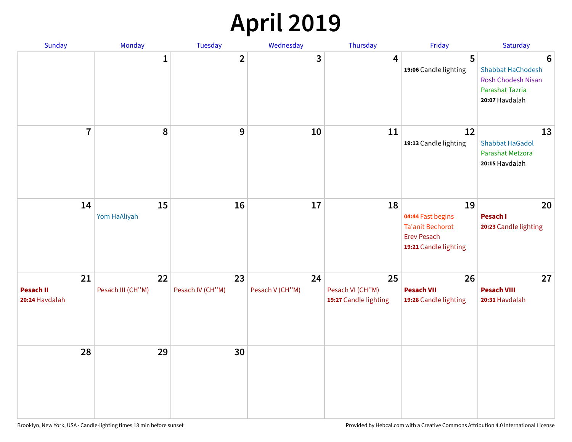## **April 2019**

| Sunday                                   | Monday                  | Tuesday                | Wednesday             | Thursday                                        | Friday                                                                                            | Saturday                                                                                 |
|------------------------------------------|-------------------------|------------------------|-----------------------|-------------------------------------------------|---------------------------------------------------------------------------------------------------|------------------------------------------------------------------------------------------|
|                                          | $\mathbf{1}$            | $\overline{2}$         | 3                     | $\overline{4}$                                  | 5<br>19:06 Candle lighting                                                                        | 6<br>Shabbat HaChodesh<br><b>Rosh Chodesh Nisan</b><br>Parashat Tazria<br>20:07 Havdalah |
| $\overline{7}$                           | 8                       | $\boldsymbol{9}$       | 10                    | 11                                              | 12<br>19:13 Candle lighting                                                                       | 13<br><b>Shabbat HaGadol</b><br>Parashat Metzora<br>20:15 Havdalah                       |
| 14                                       | 15<br>Yom HaAliyah      | 16                     | 17                    | 18                                              | 19<br>04:44 Fast begins<br><b>Ta'anit Bechorot</b><br><b>Erev Pesach</b><br>19:21 Candle lighting | 20<br>Pesach I<br>20:23 Candle lighting                                                  |
| 21<br><b>Pesach II</b><br>20:24 Havdalah | 22<br>Pesach III (CH"M) | 23<br>Pesach IV (CH"M) | 24<br>Pesach V (CH"M) | 25<br>Pesach VI (CH"M)<br>19:27 Candle lighting | 26<br><b>Pesach VII</b><br>19:28 Candle lighting                                                  | 27<br><b>Pesach VIII</b><br>20:31 Havdalah                                               |
| 28                                       | 29                      | 30                     |                       |                                                 |                                                                                                   |                                                                                          |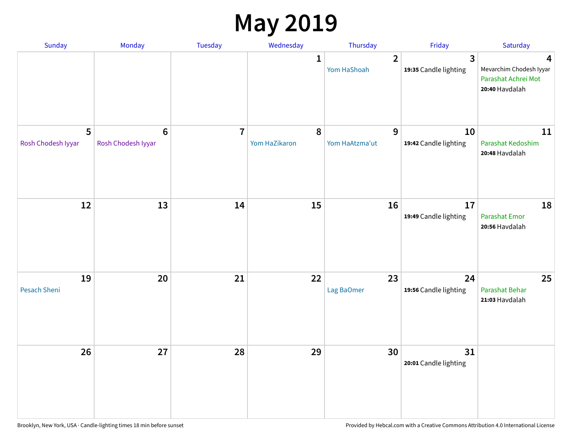### **May 2019**

| Sunday                  | Monday                      | Tuesday        | Wednesday                  | Thursday                      | Friday                                           | Saturday                                                              |
|-------------------------|-----------------------------|----------------|----------------------------|-------------------------------|--------------------------------------------------|-----------------------------------------------------------------------|
|                         |                             |                | 1                          | $\overline{2}$<br>Yom HaShoah | $\overline{\mathbf{3}}$<br>19:35 Candle lighting | 4<br>Mevarchim Chodesh Iyyar<br>Parashat Achrei Mot<br>20:40 Havdalah |
| 5<br>Rosh Chodesh Iyyar | $6\,$<br>Rosh Chodesh Iyyar | $\overline{7}$ | $\pmb{8}$<br>Yom HaZikaron | 9<br>Yom HaAtzma'ut           | 10<br>19:42 Candle lighting                      | 11<br>Parashat Kedoshim<br>20:48 Havdalah                             |
| 12                      | 13                          | 14             | 15                         | 16                            | 17<br>19:49 Candle lighting                      | 18<br>Parashat Emor<br>20:56 Havdalah                                 |
| 19<br>Pesach Sheni      | 20                          | 21             | 22                         | 23<br>Lag BaOmer              | 24<br>19:56 Candle lighting                      | 25<br>Parashat Behar<br>21:03 Havdalah                                |
| 26                      | 27                          | 28             | 29                         | 30                            | 31<br>20:01 Candle lighting                      |                                                                       |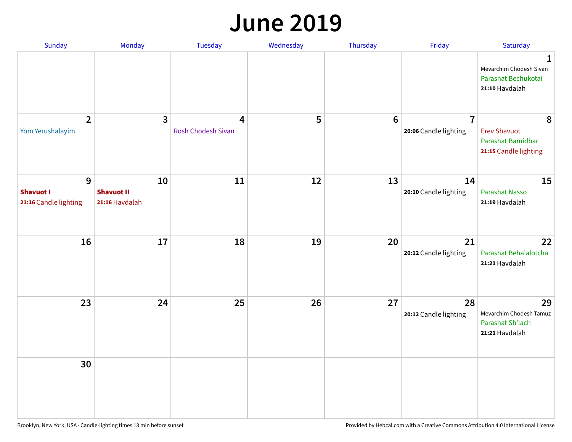#### **June 2019**

| Sunday                                         | Monday                                    | Tuesday                 | Wednesday | Thursday        | Friday                                  | Saturday                                                               |
|------------------------------------------------|-------------------------------------------|-------------------------|-----------|-----------------|-----------------------------------------|------------------------------------------------------------------------|
|                                                |                                           |                         |           |                 |                                         | 1<br>Mevarchim Chodesh Sivan<br>Parashat Bechukotai<br>21:10 Havdalah  |
| $\overline{2}$<br>Yom Yerushalayim             | $\mathbf{3}$                              | 4<br>Rosh Chodesh Sivan | 5         | $6\phantom{1}6$ | $\overline{7}$<br>20:06 Candle lighting | 8<br><b>Erev Shavuot</b><br>Parashat Bamidbar<br>21:15 Candle lighting |
| 9<br><b>Shavuot I</b><br>21:16 Candle lighting | 10<br><b>Shavuot II</b><br>21:16 Havdalah | 11                      | 12        | 13              | 14<br>20:10 Candle lighting             | 15<br><b>Parashat Nasso</b><br>21:19 Havdalah                          |
| 16                                             | 17                                        | 18                      | 19        | 20              | 21<br>20:12 Candle lighting             | 22<br>Parashat Beha'alotcha<br>21:21 Havdalah                          |
| 23                                             | 24                                        | 25                      | 26        | 27              | 28<br>20:12 Candle lighting             | 29<br>Mevarchim Chodesh Tamuz<br>Parashat Sh'lach<br>21:21 Havdalah    |
| 30                                             |                                           |                         |           |                 |                                         |                                                                        |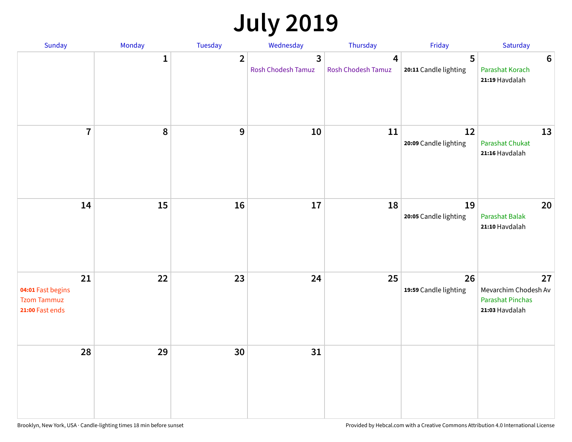## **July 2019**

| Sunday                                                           | Monday       | Tuesday        | Wednesday                                   | Thursday                | Friday                      | Saturday                                                                |
|------------------------------------------------------------------|--------------|----------------|---------------------------------------------|-------------------------|-----------------------------|-------------------------------------------------------------------------|
|                                                                  | $\mathbf{1}$ | $\overline{2}$ | $\overline{3}$<br><b>Rosh Chodesh Tamuz</b> | 4<br>Rosh Chodesh Tamuz | 5<br>20:11 Candle lighting  | $6\phantom{1}6$<br>Parashat Korach<br>21:19 Havdalah                    |
| $\overline{7}$                                                   | 8            | $\overline{9}$ | 10                                          | 11                      | 12<br>20:09 Candle lighting | 13<br>Parashat Chukat<br>21:16 Havdalah                                 |
| 14                                                               | 15           | 16             | 17                                          | 18                      | 19<br>20:05 Candle lighting | 20<br><b>Parashat Balak</b><br>21:10 Havdalah                           |
| 21<br>04:01 Fast begins<br><b>Tzom Tammuz</b><br>21:00 Fast ends | 22           | 23             | 24                                          | 25                      | 26<br>19:59 Candle lighting | 27<br>Mevarchim Chodesh Av<br><b>Parashat Pinchas</b><br>21:03 Havdalah |
| 28                                                               | 29           | 30             | 31                                          |                         |                             |                                                                         |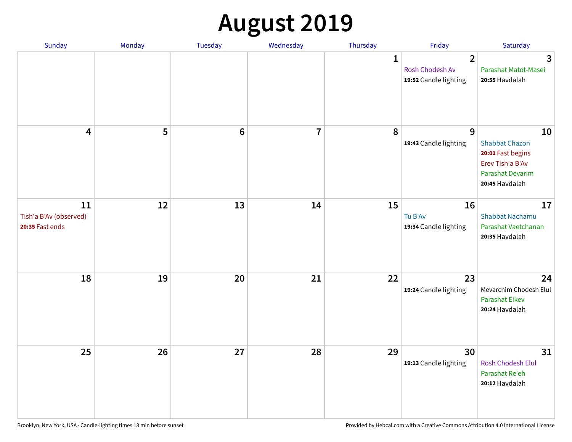# **August 2019**

| Sunday                                          | Monday | Tuesday         | Wednesday      | Thursday     | Friday                                                     | Saturday                                                                                                          |
|-------------------------------------------------|--------|-----------------|----------------|--------------|------------------------------------------------------------|-------------------------------------------------------------------------------------------------------------------|
|                                                 |        |                 |                | $\mathbf{1}$ | $\overline{2}$<br>Rosh Chodesh Av<br>19:52 Candle lighting | $\overline{3}$<br>Parashat Matot-Masei<br>20:55 Havdalah                                                          |
| $\overline{\mathbf{4}}$                         | 5      | $6\phantom{1}6$ | $\overline{7}$ | 8            | $\overline{9}$<br>19:43 Candle lighting                    | 10<br><b>Shabbat Chazon</b><br>20:01 Fast begins<br>Erev Tish'a B'Av<br><b>Parashat Devarim</b><br>20:45 Havdalah |
| 11<br>Tish'a B'Av (observed)<br>20:35 Fast ends | 12     | 13              | 14             | 15           | 16<br>Tu B'Av<br>19:34 Candle lighting                     | 17<br><b>Shabbat Nachamu</b><br>Parashat Vaetchanan<br>20:35 Havdalah                                             |
| 18                                              | 19     | 20              | 21             | 22           | 23<br>19:24 Candle lighting                                | 24<br>Mevarchim Chodesh Elul<br><b>Parashat Eikev</b><br>20:24 Havdalah                                           |
| 25                                              | 26     | 27              | 28             | 29           | 30<br>19:13 Candle lighting                                | 31<br>Rosh Chodesh Elul<br>Parashat Re'eh<br>20:12 Havdalah                                                       |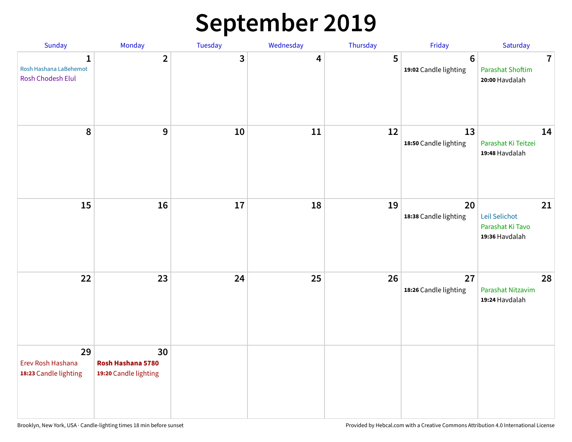## **September 2019**

| Sunday                                           | Monday                                           | Tuesday | Wednesday | Thursday | Friday                                  | Saturday                                                    |
|--------------------------------------------------|--------------------------------------------------|---------|-----------|----------|-----------------------------------------|-------------------------------------------------------------|
| 1<br>Rosh Hashana LaBehemot<br>Rosh Chodesh Elul | $\overline{2}$                                   | 3       | 4         | 5        | $6\phantom{1}$<br>19:02 Candle lighting | $\overline{7}$<br><b>Parashat Shoftim</b><br>20:00 Havdalah |
| 8                                                | 9                                                | 10      | 11        | 12       | 13<br>18:50 Candle lighting             | 14<br>Parashat Ki Teitzei<br>19:48 Havdalah                 |
| 15                                               | 16                                               | 17      | 18        | 19       | 20<br>18:38 Candle lighting             | 21<br>Leil Selichot<br>Parashat Ki Tavo<br>19:36 Havdalah   |
| 22                                               | 23                                               | 24      | 25        | 26       | 27<br>18:26 Candle lighting             | 28<br>Parashat Nitzavim<br>19:24 Havdalah                   |
| 29<br>Erev Rosh Hashana<br>18:23 Candle lighting | 30<br>Rosh Hashana 5780<br>19:20 Candle lighting |         |           |          |                                         |                                                             |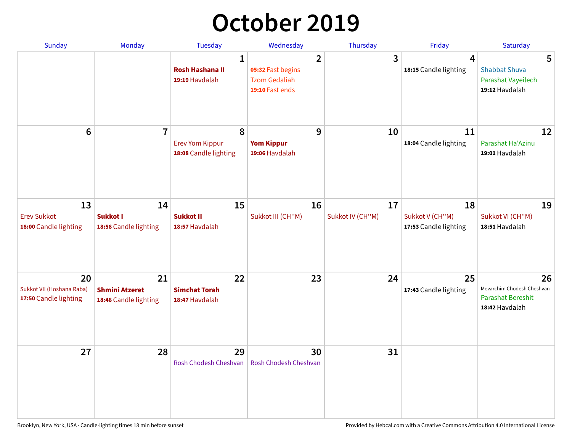## **October 2019**

| Sunday                                                   | <b>Monday</b>                                        | <b>Tuesday</b>                                           | Wednesday                                                                      | Thursday               | Friday                                           | Saturday                                                                       |
|----------------------------------------------------------|------------------------------------------------------|----------------------------------------------------------|--------------------------------------------------------------------------------|------------------------|--------------------------------------------------|--------------------------------------------------------------------------------|
|                                                          |                                                      | $\mathbf{1}$<br><b>Rosh Hashana II</b><br>19:19 Havdalah | $\overline{2}$<br>05:32 Fast begins<br><b>Tzom Gedaliah</b><br>19:10 Fast ends | 3                      | $\overline{\mathbf{4}}$<br>18:15 Candle lighting | 5<br><b>Shabbat Shuva</b><br>Parashat Vayeilech<br>19:12 Havdalah              |
| $6\phantom{1}$                                           | $\overline{7}$                                       | 8<br><b>Erev Yom Kippur</b><br>18:08 Candle lighting     | 9<br><b>Yom Kippur</b><br>19:06 Havdalah                                       | 10                     | 11<br>18:04 Candle lighting                      | 12<br>Parashat Ha'Azinu<br>19:01 Havdalah                                      |
| 13<br><b>Erev Sukkot</b><br>18:00 Candle lighting        | 14<br>Sukkot I<br>18:58 Candle lighting              | 15<br><b>Sukkot II</b><br>18:57 Havdalah                 | 16<br>Sukkot III (CH"M)                                                        | 17<br>Sukkot IV (CH"M) | 18<br>Sukkot V (CH"M)<br>17:53 Candle lighting   | 19<br>Sukkot VI (CH"M)<br>18:51 Havdalah                                       |
| 20<br>Sukkot VII (Hoshana Raba)<br>17:50 Candle lighting | 21<br><b>Shmini Atzeret</b><br>18:48 Candle lighting | 22<br><b>Simchat Torah</b><br>18:47 Havdalah             | 23                                                                             | 24                     | 25<br>17:43 Candle lighting                      | 26<br>Mevarchim Chodesh Cheshvan<br><b>Parashat Bereshit</b><br>18:42 Havdalah |
| 27                                                       | 28                                                   | 29<br>Rosh Chodesh Cheshvan                              | 30<br>Rosh Chodesh Cheshvan                                                    | 31                     |                                                  |                                                                                |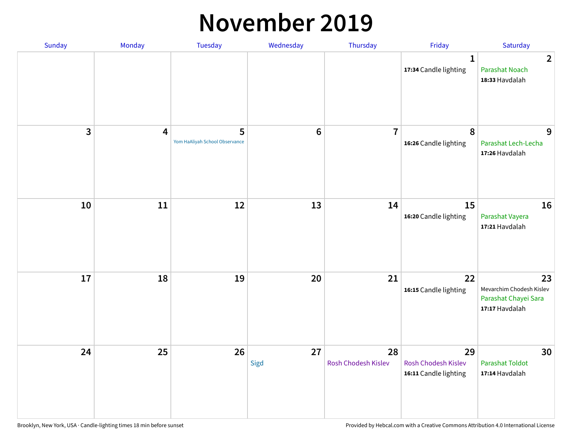#### **November 2019**

| Sunday | Monday                  | <b>Tuesday</b>                      | Wednesday      | Thursday                  | Friday                                                    | Saturday                                                                 |
|--------|-------------------------|-------------------------------------|----------------|---------------------------|-----------------------------------------------------------|--------------------------------------------------------------------------|
|        |                         |                                     |                |                           | $\mathbf{1}$<br>17:34 Candle lighting                     | $\overline{2}$<br><b>Parashat Noach</b><br>18:33 Havdalah                |
| 3      | $\overline{\mathbf{4}}$ | 5<br>Yom HaAliyah School Observance | $6\phantom{1}$ | $\overline{7}$            | 8<br>16:26 Candle lighting                                | 9<br>Parashat Lech-Lecha<br>17:26 Havdalah                               |
| 10     | 11                      | 12                                  | 13             | 14                        | 15<br>16:20 Candle lighting                               | 16<br>Parashat Vayera<br>17:21 Havdalah                                  |
| 17     | 18                      | 19                                  | 20             | 21                        | 22<br>16:15 Candle lighting                               | 23<br>Mevarchim Chodesh Kislev<br>Parashat Chayei Sara<br>17:17 Havdalah |
| 24     | 25                      | 26                                  | 27<br>Sigd     | 28<br>Rosh Chodesh Kislev | 29<br><b>Rosh Chodesh Kislev</b><br>16:11 Candle lighting | 30<br><b>Parashat Toldot</b><br>17:14 Havdalah                           |